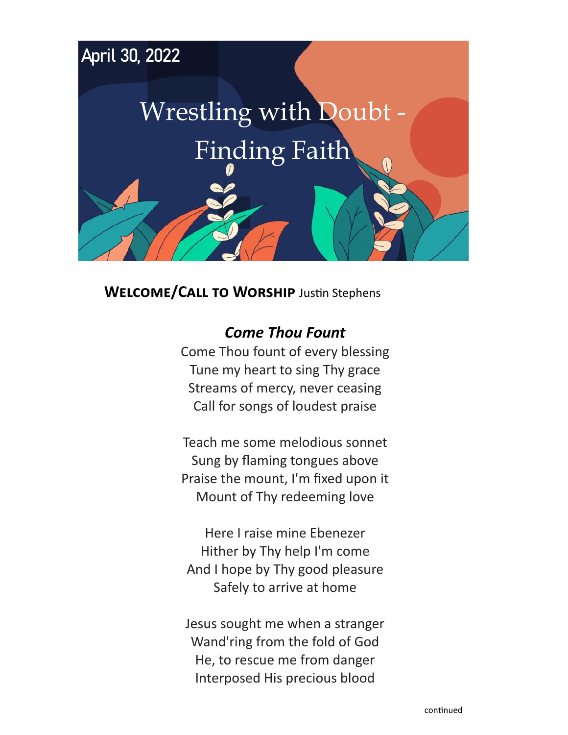

**Welcome/Call to Worship** Justin Stephens

# *Come Thou Fount*

Come Thou fount of every blessing Tune my heart to sing Thy grace Streams of mercy, never ceasing Call for songs of loudest praise

Teach me some melodious sonnet Sung by flaming tongues above Praise the mount, I'm fixed upon it Mount of Thy redeeming love

Here I raise mine Ebenezer Hither by Thy help I'm come And I hope by Thy good pleasure Safely to arrive at home

Jesus sought me when a stranger Wand'ring from the fold of God He, to rescue me from danger Interposed His precious blood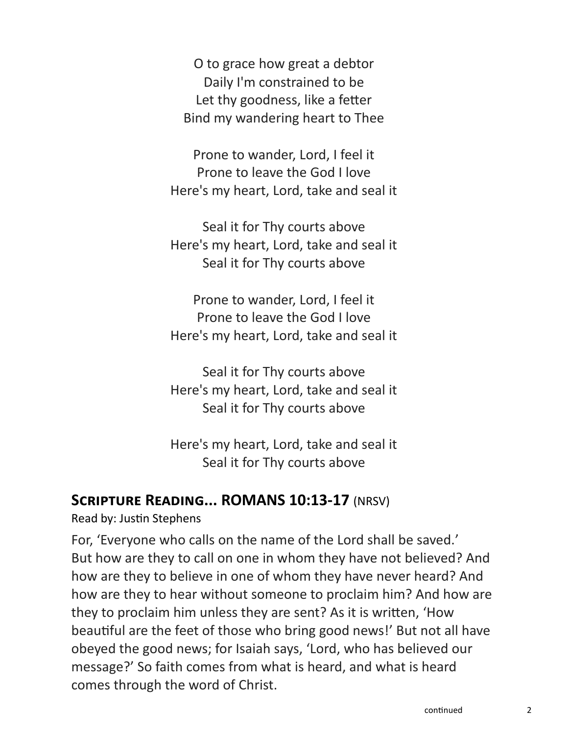O to grace how great a debtor Daily I'm constrained to be Let thy goodness, like a fetter Bind my wandering heart to Thee

Prone to wander, Lord, I feel it Prone to leave the God I love Here's my heart, Lord, take and seal it

Seal it for Thy courts above Here's my heart, Lord, take and seal it Seal it for Thy courts above

Prone to wander, Lord, I feel it Prone to leave the God I love Here's my heart, Lord, take and seal it

Seal it for Thy courts above Here's my heart, Lord, take and seal it Seal it for Thy courts above

Here's my heart, Lord, take and seal it Seal it for Thy courts above

# **Scripture Reading... ROMANS 10:13-17** (NRSV)

Read by: Justin Stephens

For, 'Everyone who calls on the name of the Lord shall be saved.' But how are they to call on one in whom they have not believed? And how are they to believe in one of whom they have never heard? And how are they to hear without someone to proclaim him? And how are they to proclaim him unless they are sent? As it is written, 'How beautiful are the feet of those who bring good news!' But not all have obeyed the good news; for Isaiah says, 'Lord, who has believed our message?' So faith comes from what is heard, and what is heard comes through the word of Christ.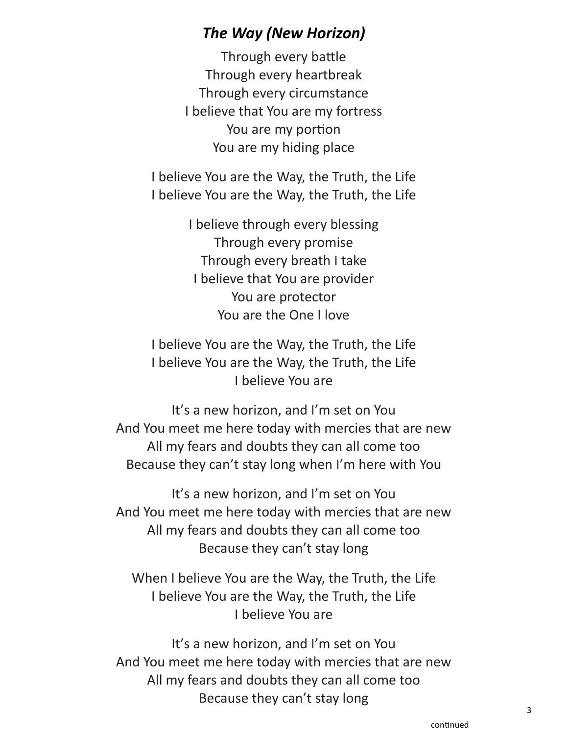## *The Way (New Horizon)*

Through every battle Through every heartbreak Through every circumstance I believe that You are my fortress You are my portion You are my hiding place

I believe You are the Way, the Truth, the Life I believe You are the Way, the Truth, the Life

> I believe through every blessing Through every promise Through every breath I take I believe that You are provider You are protector You are the One I love

I believe You are the Way, the Truth, the Life I believe You are the Way, the Truth, the Life I believe You are

It's a new horizon, and I'm set on You And You meet me here today with mercies that are new All my fears and doubts they can all come too Because they can't stay long when I'm here with You

It's a new horizon, and I'm set on You And You meet me here today with mercies that are new All my fears and doubts they can all come too Because they can't stay long

When I believe You are the Way, the Truth, the Life I believe You are the Way, the Truth, the Life I believe You are

It's a new horizon, and I'm set on You And You meet me here today with mercies that are new All my fears and doubts they can all come too Because they can't stay long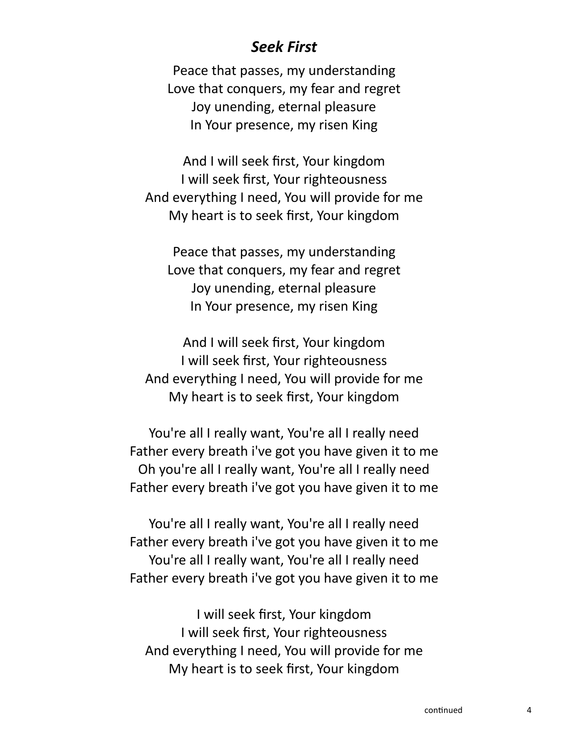## *Seek First*

Peace that passes, my understanding Love that conquers, my fear and regret Joy unending, eternal pleasure In Your presence, my risen King

And I will seek first, Your kingdom I will seek first, Your righteousness And everything I need, You will provide for me My heart is to seek first, Your kingdom

Peace that passes, my understanding Love that conquers, my fear and regret Joy unending, eternal pleasure In Your presence, my risen King

And I will seek first, Your kingdom I will seek first, Your righteousness And everything I need, You will provide for me My heart is to seek first, Your kingdom

You're all I really want, You're all I really need Father every breath i've got you have given it to me Oh you're all I really want, You're all I really need Father every breath i've got you have given it to me

You're all I really want, You're all I really need Father every breath i've got you have given it to me You're all I really want, You're all I really need Father every breath i've got you have given it to me

I will seek first, Your kingdom I will seek first, Your righteousness And everything I need, You will provide for me My heart is to seek first, Your kingdom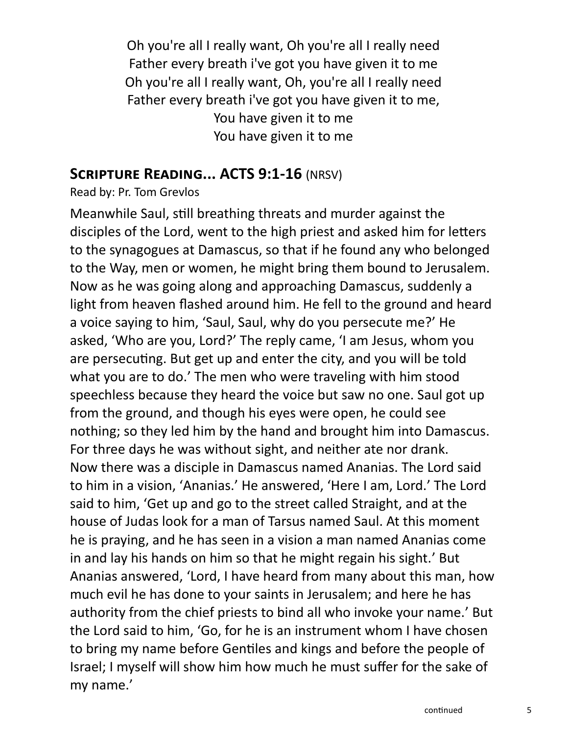Oh you're all I really want, Oh you're all I really need Father every breath i've got you have given it to me Oh you're all I really want, Oh, you're all I really need Father every breath i've got you have given it to me, You have given it to me You have given it to me

## **Scripture Reading... ACTS 9:1-16** (NRSV)

Read by: Pr. Tom Grevlos

Meanwhile Saul, still breathing threats and murder against the disciples of the Lord, went to the high priest and asked him for letters to the synagogues at Damascus, so that if he found any who belonged to the Way, men or women, he might bring them bound to Jerusalem. Now as he was going along and approaching Damascus, suddenly a light from heaven flashed around him. He fell to the ground and heard a voice saying to him, 'Saul, Saul, why do you persecute me?' He asked, 'Who are you, Lord?' The reply came, 'I am Jesus, whom you are persecuting. But get up and enter the city, and you will be told what you are to do.' The men who were traveling with him stood speechless because they heard the voice but saw no one. Saul got up from the ground, and though his eyes were open, he could see nothing; so they led him by the hand and brought him into Damascus. For three days he was without sight, and neither ate nor drank. Now there was a disciple in Damascus named Ananias. The Lord said to him in a vision, 'Ananias.' He answered, 'Here I am, Lord.' The Lord said to him, 'Get up and go to the street called Straight, and at the house of Judas look for a man of Tarsus named Saul. At this moment he is praying, and he has seen in a vision a man named Ananias come in and lay his hands on him so that he might regain his sight.' But Ananias answered, 'Lord, I have heard from many about this man, how much evil he has done to your saints in Jerusalem; and here he has authority from the chief priests to bind all who invoke your name.' But the Lord said to him, 'Go, for he is an instrument whom I have chosen to bring my name before Gentiles and kings and before the people of Israel; I myself will show him how much he must suffer for the sake of my name.'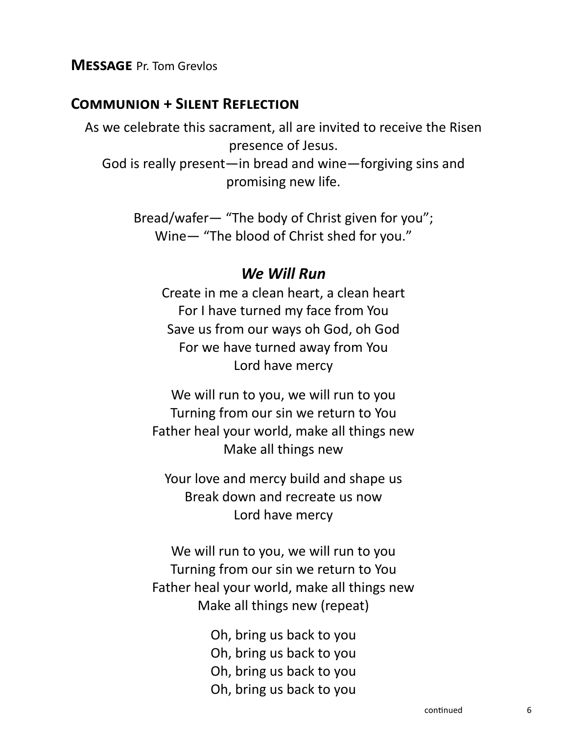**Message** Pr. Tom Grevlos

#### **Communion + Silent Reflection**

As we celebrate this sacrament, all are invited to receive the Risen presence of Jesus.

God is really present—in bread and wine—forgiving sins and promising new life.

Bread/wafer— "The body of Christ given for you"; Wine— "The blood of Christ shed for you."

#### *We Will Run*

Create in me a clean heart, a clean heart For I have turned my face from You Save us from our ways oh God, oh God For we have turned away from You Lord have mercy

We will run to you, we will run to you Turning from our sin we return to You Father heal your world, make all things new Make all things new

Your love and mercy build and shape us Break down and recreate us now Lord have mercy

We will run to you, we will run to you Turning from our sin we return to You Father heal your world, make all things new Make all things new (repeat)

> Oh, bring us back to you Oh, bring us back to you Oh, bring us back to you Oh, bring us back to you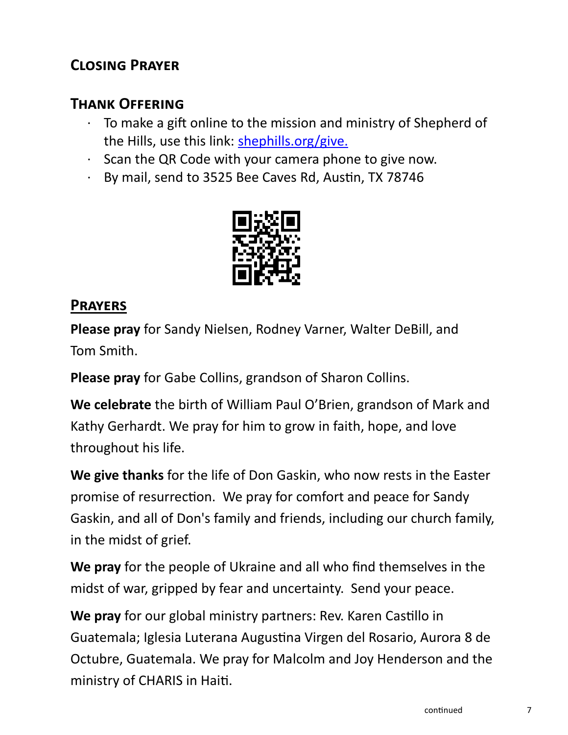# **Closing Prayer**

## **Thank Offering**

- $\cdot$  To make a gift online to the mission and ministry of Shepherd of the Hills, use this link: [shephills.org/give.](https://shephills.org/give/)
- $\cdot$  Scan the QR Code with your camera phone to give now.
- · By mail, send to 3525 Bee Caves Rd, Austin, TX 78746



## **Prayers**

**Please pray** for Sandy Nielsen, Rodney Varner, Walter DeBill, and Tom Smith.

**Please pray** for Gabe Collins, grandson of Sharon Collins.

**We celebrate** the birth of William Paul O'Brien, grandson of Mark and Kathy Gerhardt. We pray for him to grow in faith, hope, and love throughout his life.

**We give thanks** for the life of Don Gaskin, who now rests in the Easter promise of resurrection. We pray for comfort and peace for Sandy Gaskin, and all of Don's family and friends, including our church family, in the midst of grief.

**We pray** for the people of Ukraine and all who find themselves in the midst of war, gripped by fear and uncertainty. Send your peace.

**We pray** for our global ministry partners: Rev. Karen Castillo in Guatemala; Iglesia Luterana Augustina Virgen del Rosario, Aurora 8 de Octubre, Guatemala. We pray for Malcolm and Joy Henderson and the ministry of CHARIS in Haiti.